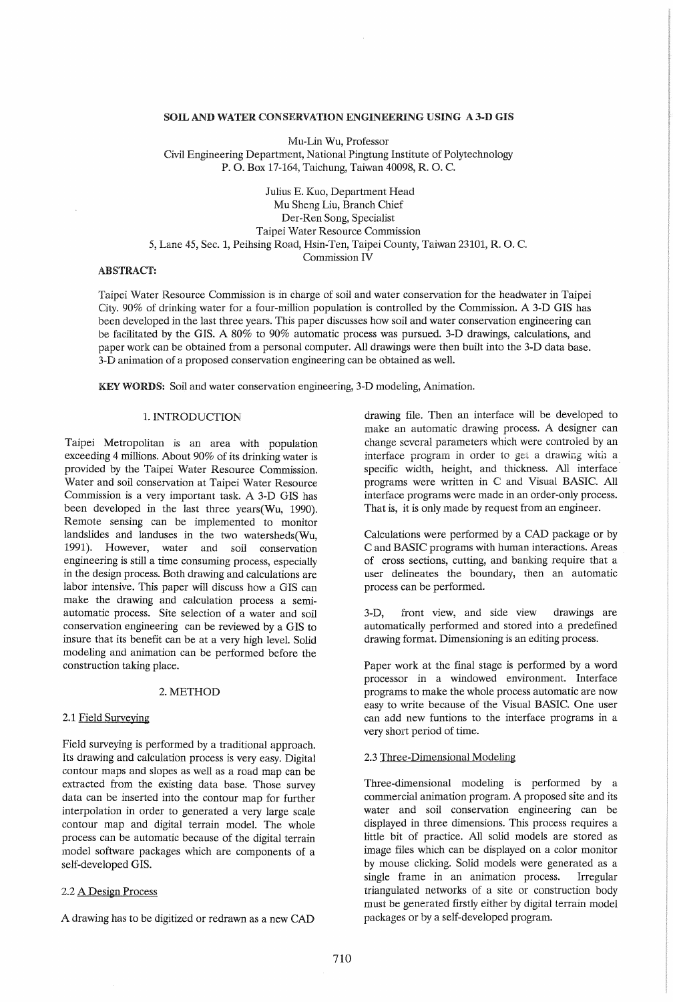## SOIL AND WATER CONSERVATION ENGINEERING USING A 3-D GIS

Mu-Lin Wu, Professor Civil Engineering Department, National Pingtung Institute of Polytechnology P. O. Box 17-164, Taichung, Taiwan 40098, R. O. C.

Julius E. Kuo, Department Head Mu Sheng Liu, Branch Chief Der-Ren Song, Specialist Taipei Water Resource Commission 5, Lane 45, Sec. 1, Peihsing Road, Hsin-Ten, Taipei County, Taiwan 23101, R. O. C. Commission IV

## ABSTRACT:

Taipei Water Resource Commission is in charge of soil and water conservation for the headwater in Taipei City. 90% of drinking water for a four-million population is controlled by the Commission. A 3-D GIS has been developed in the last three years. This paper discusses how soil and water conservation engineering can be facilitated by the GIS. A 80% to 90% automatic process was pursued. 3-D drawings, calculations, and paper work can be obtained from a personal computer. All drawings were then built into the 3-D data base. 3-D animation of a proposed conservation engineering can be obtained as well.

KEYWORDS: Soil and water conservation engineering, 3-D modeling, Animation.

# 1. INTRODUCTION

Taipei Metropolitan is an area with population exceeding 4 millions. About 90% of its drinking water is provided by the Taipei Water Resource Commission. Water and soil conservation at Taipei Water Resource Commission is a very important task. A 3-D GIS has been developed in the last three years(Wu, 1990). Remote sensing can be implemented to monitor landslides and landuses in the two watersheds(Wu, 1991). However, water and soil conservation engineering is still a time consuming process, especially in the design process. Both drawing and calculations are labor intensive. This paper will discuss how a GIS can make the drawing and calculation process a semiautomatic process. Site selection of a water and soil conservation engineering can be reviewed by a GIS to insure that its benefit can be at a very high level. Solid modeling and animation can be performed before the construction taking place.

### 2. METHOD

### 2.1 Field Surveying

Field surveying is performed by a traditional approach. Its drawing and calculation process is very easy. Digital contour maps and slopes as well as a road map can be extracted from the existing data base. Those survey data can be inserted into the contour map for further interpolation in order to generated a very large scale contour map and digital terrain model. The whole process can be automatic because of the digital terrain model software packages which are components of a self-developed GIS.

#### 2.2 A Design Process

A drawing has to be digitized or redrawn as a new CAD

drawing file. Then an interface will be developed to make an automatic drawing process. A designer can change several parameters which were controled by an interface program in order to get a drawing with a specific width, height, and thickness. All interface programs were written in C and Visual BASIC. All interface programs were made in an order-only process. That is, it is only made by request from an engineer.

Calculations were performed by a CAD package or by C and BASIC programs with human interactions. Areas of cross sections, cutting, and banking require that a user delineates the boundary, then an automatic process can be performed.

3-D, front view, and side view drawings are automatically performed and stored into a predefined drawing format. Dimensioning is an editing process.

Paper work at the final stage is performed by a word processor in a windowed environment. Interface programs to make the whole process automatic are now easy to write because of the Visual BASIC. One user can add new funtions to the interface programs in a very short period of time.

## 2.3 Three-Dimensional Modeling

Three-dimensional modeling is performed by a commercial animation program. A proposed site and its water and soil conservation engineering can be displayed in three dimensions. This process requires a little bit of practice. All solid models are stored as image files which can be displayed on a color monitor by mouse clicking. Solid models were generated as a single frame in an animation process. Irregular triangulated networks of a site or construction body must be generated firstly either by digital terrain model packages or by a self-developed program.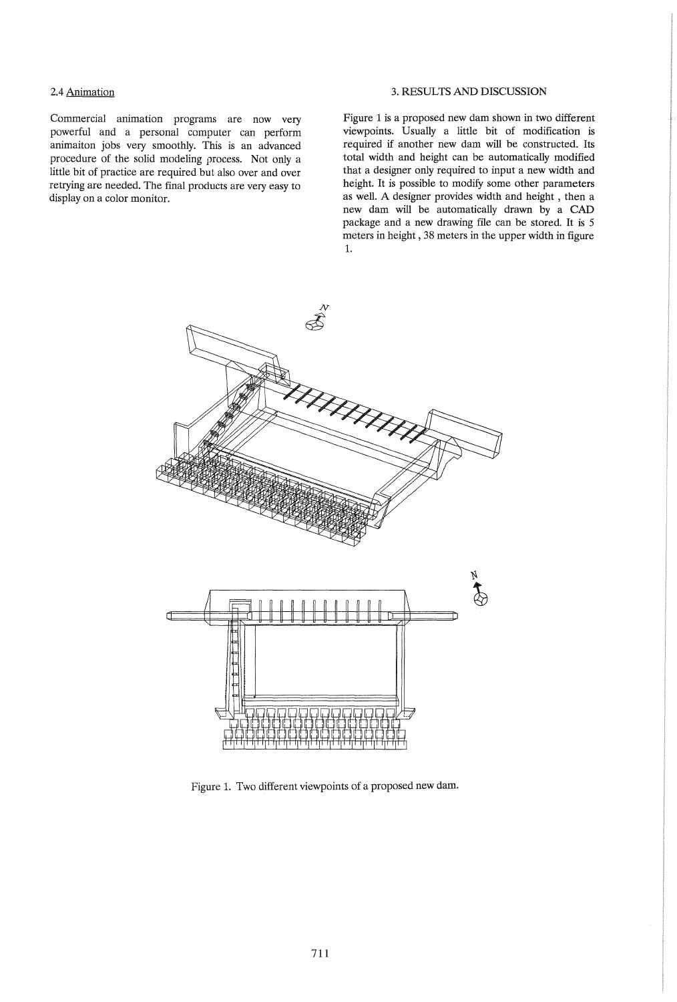# 2.4 Animation

Commercial animation programs are now very powerful and a personal computer can perform animaiton jobs very smoothly. This is an advanced procedure of the solid modeling process. Not only a little bit of practice are required but also over and over retrying are needed. The final products are very easy to display on a color monitor.

## 3. RESULTS AND DISCUSSION

Figure 1 is a proposed new dam shown in two different viewpoints. Usually a little bit of modification is required if another new dam will be constructed. Its total width and height can be automatically modified that a designer only required to input a new width and height. It is possible to modify some other parameters as well. A designer provides width and height , then a new dam will be automatically drawn by a CAD package and a new drawing file can be stored. It is 5 meters in height, 38 meters in the upper width in figure 1.



Figure 1. Two different viewpoints of a proposed new dam.